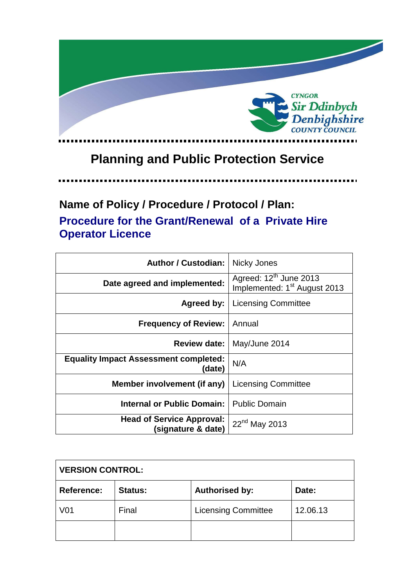

# **Planning and Public Protection Service**

. . . . . .

## **Name of Policy / Procedure / Protocol / Plan: Procedure for the Grant/Renewal of a Private Hire Operator Licence**

| <b>Author / Custodian:</b>                             | Nicky Jones                                                                    |
|--------------------------------------------------------|--------------------------------------------------------------------------------|
| Date agreed and implemented:                           | Agreed: 12 <sup>th</sup> June 2013<br>Implemented: 1 <sup>st</sup> August 2013 |
| Agreed by:                                             | <b>Licensing Committee</b>                                                     |
| <b>Frequency of Review:</b>                            | Annual                                                                         |
| <b>Review date:</b>                                    | May/June 2014                                                                  |
| <b>Equality Impact Assessment completed:</b><br>(date) | N/A                                                                            |
| Member involvement (if any)                            | <b>Licensing Committee</b>                                                     |
| <b>Internal or Public Domain:</b>                      | <b>Public Domain</b>                                                           |
| <b>Head of Service Approval:</b><br>(signature & date) | 22 <sup>nd</sup> May 2013                                                      |

| <b>VERSION CONTROL:</b> |                |                            |          |
|-------------------------|----------------|----------------------------|----------|
| Reference:              | <b>Status:</b> | <b>Authorised by:</b>      | Date:    |
| V <sub>01</sub>         | Final          | <b>Licensing Committee</b> | 12.06.13 |
|                         |                |                            |          |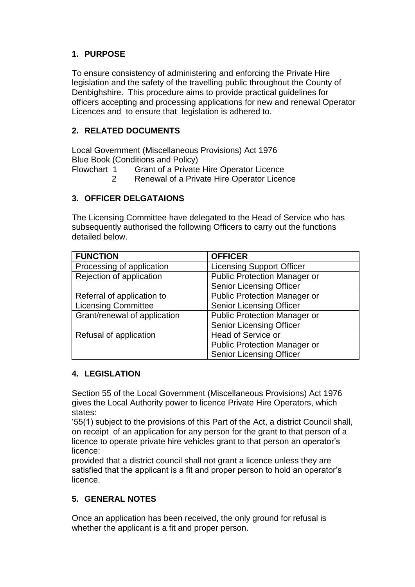## **1. PURPOSE**

To ensure consistency of administering and enforcing the Private Hire legislation and the safety of the travelling public throughout the County of Denbighshire. This procedure aims to provide practical guidelines for officers accepting and processing applications for new and renewal Operator Licences and to ensure that legislation is adhered to.

## **2. RELATED DOCUMENTS**

Local Government (Miscellaneous Provisions) Act 1976 Blue Book (Conditions and Policy)

Flowchart 1 Grant of a Private Hire Operator Licence

2 Renewal of a Private Hire Operator Licence

## **3. OFFICER DELGATAIONS**

The Licensing Committee have delegated to the Head of Service who has subsequently authorised the following Officers to carry out the functions detailed below.

| <b>FUNCTION</b>              | <b>OFFICER</b>                      |
|------------------------------|-------------------------------------|
| Processing of application    | <b>Licensing Support Officer</b>    |
| Rejection of application     | <b>Public Protection Manager or</b> |
|                              | <b>Senior Licensing Officer</b>     |
| Referral of application to   | <b>Public Protection Manager or</b> |
| <b>Licensing Committee</b>   | <b>Senior Licensing Officer</b>     |
| Grant/renewal of application | <b>Public Protection Manager or</b> |
|                              | <b>Senior Licensing Officer</b>     |
| Refusal of application       | Head of Service or                  |
|                              | <b>Public Protection Manager or</b> |
|                              | <b>Senior Licensing Officer</b>     |

## **4. LEGISLATION**

Section 55 of the Local Government (Miscellaneous Provisions) Act 1976 gives the Local Authority power to licence Private Hire Operators, which states:

'55(1) subject to the provisions of this Part of the Act, a district Council shall, on receipt of an application for any person for the grant to that person of a licence to operate private hire vehicles grant to that person an operator's licence:

provided that a district council shall not grant a licence unless they are satisfied that the applicant is a fit and proper person to hold an operator's licence.

## **5. GENERAL NOTES**

Once an application has been received, the only ground for refusal is whether the applicant is a fit and proper person.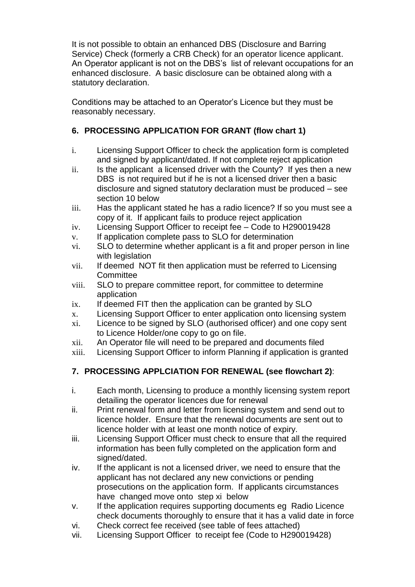It is not possible to obtain an enhanced DBS (Disclosure and Barring Service) Check (formerly a CRB Check) for an operator licence applicant. An Operator applicant is not on the DBS's list of relevant occupations for an enhanced disclosure. A basic disclosure can be obtained along with a statutory declaration.

Conditions may be attached to an Operator's Licence but they must be reasonably necessary.

## **6. PROCESSING APPLICATION FOR GRANT (flow chart 1)**

- i. Licensing Support Officer to check the application form is completed and signed by applicant/dated. If not complete reject application
- ii. Is the applicant a licensed driver with the County? If yes then a new DBS is not required but if he is not a licensed driver then a basic disclosure and signed statutory declaration must be produced – see section 10 below
- iii. Has the applicant stated he has a radio licence? If so you must see a copy of it. If applicant fails to produce reject application
- iv. Licensing Support Officer to receipt fee Code to H290019428
- v. If application complete pass to SLO for determination
- vi. SLO to determine whether applicant is a fit and proper person in line with legislation
- vii. If deemed NOT fit then application must be referred to Licensing **Committee**
- viii. SLO to prepare committee report, for committee to determine application
- ix. If deemed FIT then the application can be granted by SLO
- x. Licensing Support Officer to enter application onto licensing system
- xi. Licence to be signed by SLO (authorised officer) and one copy sent to Licence Holder/one copy to go on file.
- xii. An Operator file will need to be prepared and documents filed
- xiii. Licensing Support Officer to inform Planning if application is granted

## **7. PROCESSING APPLCIATION FOR RENEWAL (see flowchart 2)**:

- i. Each month, Licensing to produce a monthly licensing system report detailing the operator licences due for renewal
- ii. Print renewal form and letter from licensing system and send out to licence holder. Ensure that the renewal documents are sent out to licence holder with at least one month notice of expiry.
- iii. Licensing Support Officer must check to ensure that all the required information has been fully completed on the application form and signed/dated.
- iv. If the applicant is not a licensed driver, we need to ensure that the applicant has not declared any new convictions or pending prosecutions on the application form. If applicants circumstances have changed move onto step xi below
- v. If the application requires supporting documents eg Radio Licence check documents thoroughly to ensure that it has a valid date in force
- vi. Check correct fee received (see table of fees attached)
- vii. Licensing Support Officer to receipt fee (Code to H290019428)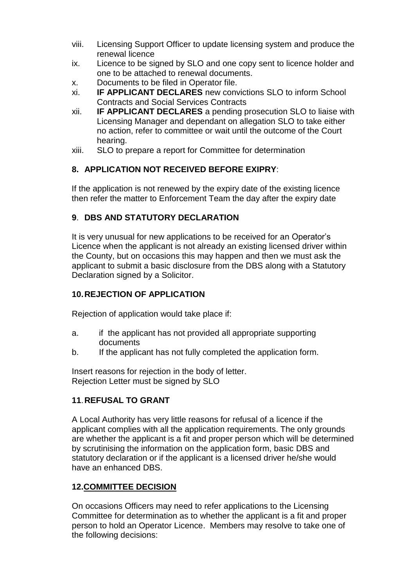- viii. Licensing Support Officer to update licensing system and produce the renewal licence
- ix. Licence to be signed by SLO and one copy sent to licence holder and one to be attached to renewal documents.
- x. Documents to be filed in Operator file.
- xi. **IF APPLICANT DECLARES** new convictions SLO to inform School Contracts and Social Services Contracts
- xii. **IF APPLICANT DECLARES** a pending prosecution SLO to liaise with Licensing Manager and dependant on allegation SLO to take either no action, refer to committee or wait until the outcome of the Court hearing.
- xiii. SLO to prepare a report for Committee for determination

## **8. APPLICATION NOT RECEIVED BEFORE EXIPRY**:

If the application is not renewed by the expiry date of the existing licence then refer the matter to Enforcement Team the day after the expiry date

## **9**. **DBS AND STATUTORY DECLARATION**

It is very unusual for new applications to be received for an Operator's Licence when the applicant is not already an existing licensed driver within the County, but on occasions this may happen and then we must ask the applicant to submit a basic disclosure from the DBS along with a Statutory Declaration signed by a Solicitor.

## **10.REJECTION OF APPLICATION**

Rejection of application would take place if:

- a. if the applicant has not provided all appropriate supporting documents
- b. If the applicant has not fully completed the application form.

Insert reasons for rejection in the body of letter. Rejection Letter must be signed by SLO

## **11**.**REFUSAL TO GRANT**

A Local Authority has very little reasons for refusal of a licence if the applicant complies with all the application requirements. The only grounds are whether the applicant is a fit and proper person which will be determined by scrutinising the information on the application form, basic DBS and statutory declaration or if the applicant is a licensed driver he/she would have an enhanced DBS.

## **12.COMMITTEE DECISION**

On occasions Officers may need to refer applications to the Licensing Committee for determination as to whether the applicant is a fit and proper person to hold an Operator Licence. Members may resolve to take one of the following decisions: